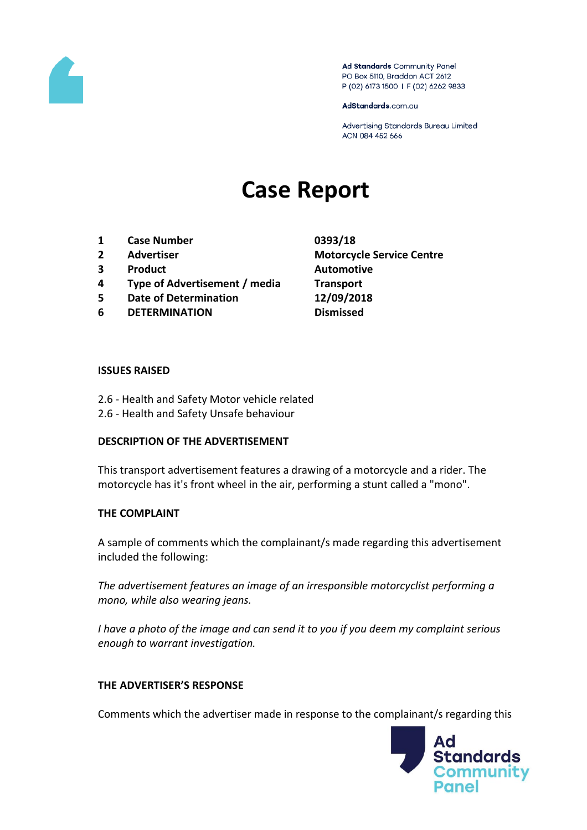

Ad Standards Community Panel PO Box 5110, Braddon ACT 2612 P (02) 6173 1500 | F (02) 6262 9833

AdStandards.com.au

Advertising Standards Bureau Limited ACN 084 452 666

# **Case Report**

- **1 Case Number 0393/18**
- 
- **3 Product Automotive**
- **4 Type of Advertisement / media Transport**
- **5 Date of Determination 12/09/2018**
- **6 DETERMINATION Dismissed**
- **2 Advertiser Motorcycle Service Centre**

#### **ISSUES RAISED**

- 2.6 Health and Safety Motor vehicle related
- 2.6 Health and Safety Unsafe behaviour

## **DESCRIPTION OF THE ADVERTISEMENT**

This transport advertisement features a drawing of a motorcycle and a rider. The motorcycle has it's front wheel in the air, performing a stunt called a "mono".

### **THE COMPLAINT**

A sample of comments which the complainant/s made regarding this advertisement included the following:

*The advertisement features an image of an irresponsible motorcyclist performing a mono, while also wearing jeans.*

*I have a photo of the image and can send it to you if you deem my complaint serious enough to warrant investigation.*

### **THE ADVERTISER'S RESPONSE**

Comments which the advertiser made in response to the complainant/s regarding this

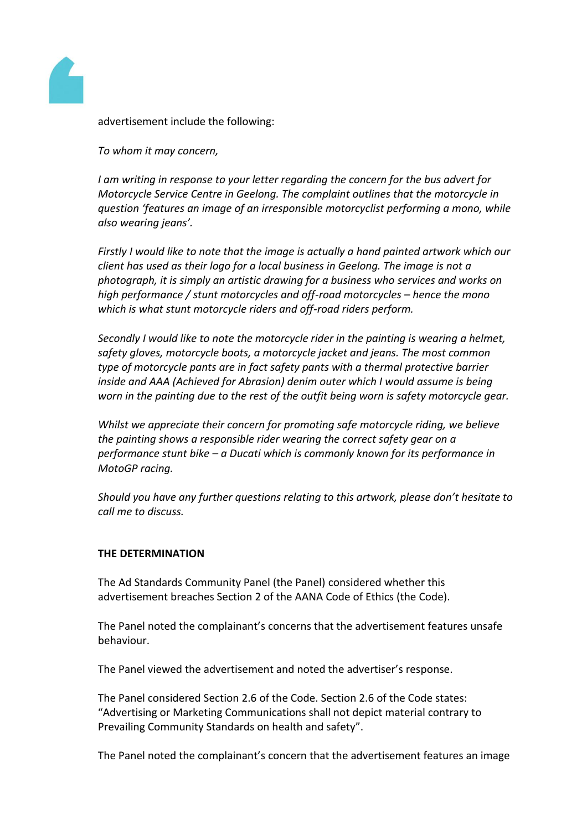

advertisement include the following:

*To whom it may concern,*

*I am writing in response to your letter regarding the concern for the bus advert for Motorcycle Service Centre in Geelong. The complaint outlines that the motorcycle in question 'features an image of an irresponsible motorcyclist performing a mono, while also wearing jeans'.*

*Firstly I would like to note that the image is actually a hand painted artwork which our client has used as their logo for a local business in Geelong. The image is not a photograph, it is simply an artistic drawing for a business who services and works on high performance / stunt motorcycles and off-road motorcycles – hence the mono which is what stunt motorcycle riders and off-road riders perform.*

*Secondly I would like to note the motorcycle rider in the painting is wearing a helmet, safety gloves, motorcycle boots, a motorcycle jacket and jeans. The most common type of motorcycle pants are in fact safety pants with a thermal protective barrier inside and AAA (Achieved for Abrasion) denim outer which I would assume is being worn in the painting due to the rest of the outfit being worn is safety motorcycle gear.*

*Whilst we appreciate their concern for promoting safe motorcycle riding, we believe the painting shows a responsible rider wearing the correct safety gear on a performance stunt bike – a Ducati which is commonly known for its performance in MotoGP racing.*

*Should you have any further questions relating to this artwork, please don't hesitate to call me to discuss.*

### **THE DETERMINATION**

The Ad Standards Community Panel (the Panel) considered whether this advertisement breaches Section 2 of the AANA Code of Ethics (the Code).

The Panel noted the complainant's concerns that the advertisement features unsafe behaviour.

The Panel viewed the advertisement and noted the advertiser's response.

The Panel considered Section 2.6 of the Code. Section 2.6 of the Code states: "Advertising or Marketing Communications shall not depict material contrary to Prevailing Community Standards on health and safety".

The Panel noted the complainant's concern that the advertisement features an image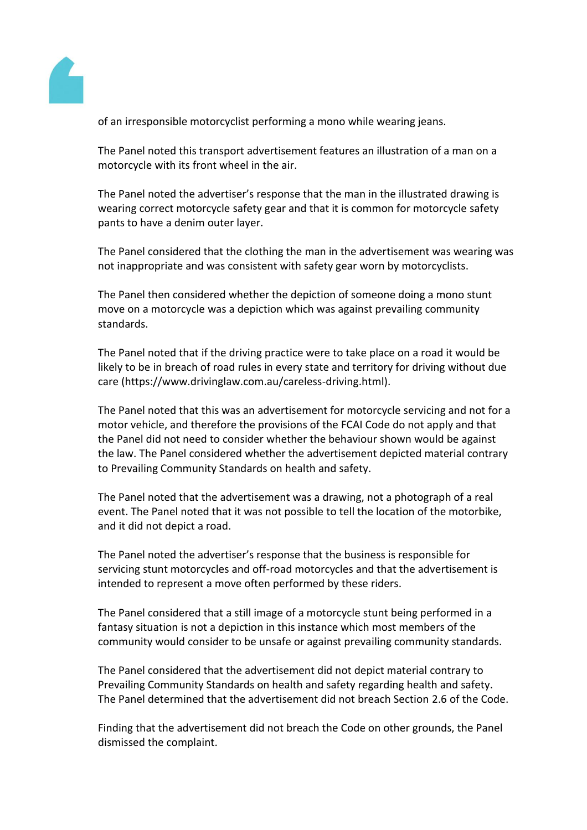

of an irresponsible motorcyclist performing a mono while wearing jeans.

The Panel noted this transport advertisement features an illustration of a man on a motorcycle with its front wheel in the air.

The Panel noted the advertiser's response that the man in the illustrated drawing is wearing correct motorcycle safety gear and that it is common for motorcycle safety pants to have a denim outer layer.

The Panel considered that the clothing the man in the advertisement was wearing was not inappropriate and was consistent with safety gear worn by motorcyclists.

The Panel then considered whether the depiction of someone doing a mono stunt move on a motorcycle was a depiction which was against prevailing community standards.

The Panel noted that if the driving practice were to take place on a road it would be likely to be in breach of road rules in every state and territory for driving without due care (https://www.drivinglaw.com.au/careless-driving.html).

The Panel noted that this was an advertisement for motorcycle servicing and not for a motor vehicle, and therefore the provisions of the FCAI Code do not apply and that the Panel did not need to consider whether the behaviour shown would be against the law. The Panel considered whether the advertisement depicted material contrary to Prevailing Community Standards on health and safety.

The Panel noted that the advertisement was a drawing, not a photograph of a real event. The Panel noted that it was not possible to tell the location of the motorbike, and it did not depict a road.

The Panel noted the advertiser's response that the business is responsible for servicing stunt motorcycles and off-road motorcycles and that the advertisement is intended to represent a move often performed by these riders.

The Panel considered that a still image of a motorcycle stunt being performed in a fantasy situation is not a depiction in this instance which most members of the community would consider to be unsafe or against prevailing community standards.

The Panel considered that the advertisement did not depict material contrary to Prevailing Community Standards on health and safety regarding health and safety. The Panel determined that the advertisement did not breach Section 2.6 of the Code.

Finding that the advertisement did not breach the Code on other grounds, the Panel dismissed the complaint.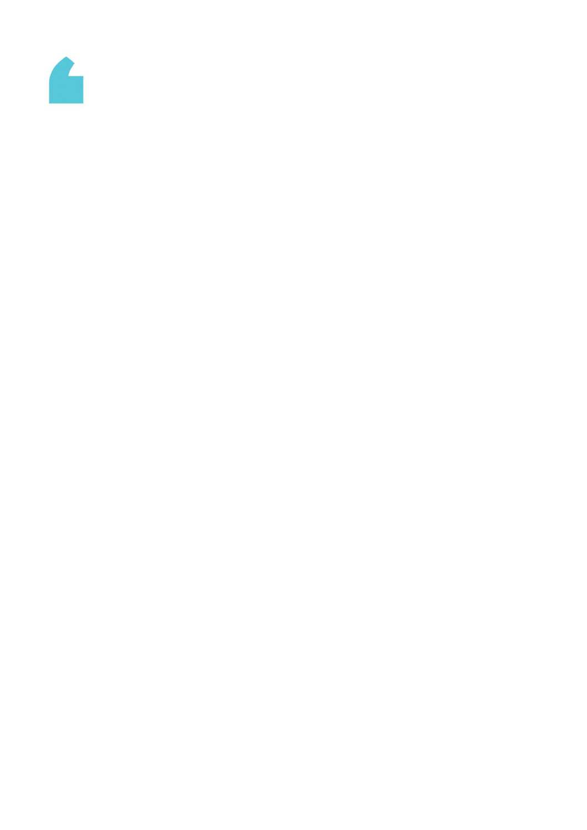$\blacktriangle$